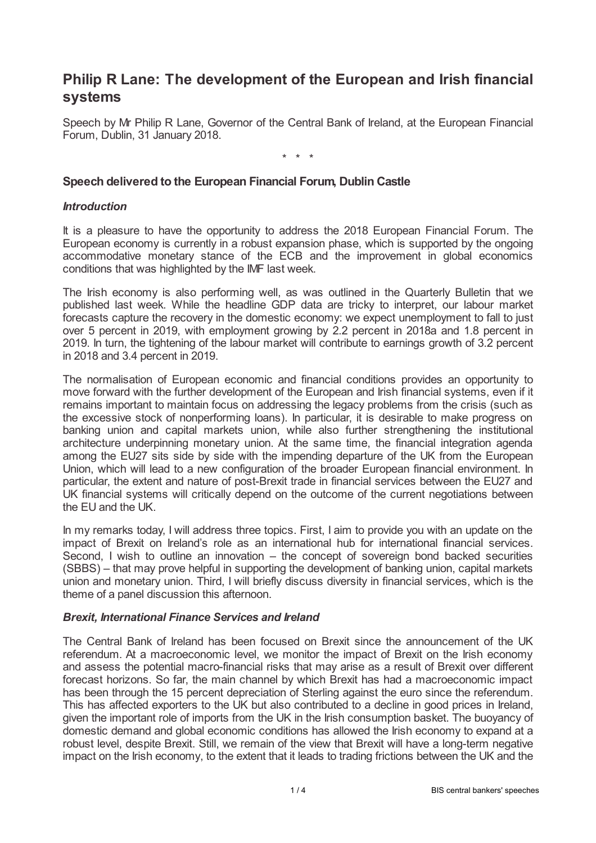# **Philip R Lane: The development of the European and Irish financial systems**

Speech by Mr Philip R Lane, Governor of the Central Bank of Ireland, at the European Financial Forum, Dublin, 31 January 2018.

\* \* \*

#### **Speech delivered to the European Financial Forum, Dublin Castle**

#### *Introduction*

It is a pleasure to have the opportunity to address the 2018 European Financial Forum. The European economy is currently in a robust expansion phase, which is supported by the ongoing accommodative monetary stance of the ECB and the improvement in global economics conditions that was highlighted by the IMF last week.

The Irish economy is also performing well, as was outlined in the Quarterly Bulletin that we published last week. While the headline GDP data are tricky to interpret, our labour market forecasts capture the recovery in the domestic economy: we expect unemployment to fall to just over 5 percent in 2019, with employment growing by 2.2 percent in 2018a and 1.8 percent in 2019. In turn, the tightening of the labour market will contribute to earnings growth of 3.2 percent in 2018 and 3.4 percent in 2019.

The normalisation of European economic and financial conditions provides an opportunity to move forward with the further development of the European and Irish financial systems, even if it remains important to maintain focus on addressing the legacy problems from the crisis (such as the excessive stock of nonperforming loans). In particular, it is desirable to make progress on banking union and capital markets union, while also further strengthening the institutional architecture underpinning monetary union. At the same time, the financial integration agenda among the EU27 sits side by side with the impending departure of the UK from the European Union, which will lead to a new configuration of the broader European financial environment. In particular, the extent and nature of post-Brexit trade in financial services between the EU27 and UK financial systems will critically depend on the outcome of the current negotiations between the EU and the UK.

In my remarks today, I will address three topics. First, I aim to provide you with an update on the impact of Brexit on Ireland's role as an international hub for international financial services. Second, I wish to outline an innovation – the concept of sovereign bond backed securities (SBBS) – that may prove helpful in supporting the development of banking union, capital markets union and monetary union. Third, I will briefly discuss diversity in financial services, which is the theme of a panel discussion this afternoon.

#### *Brexit, International Finance Services and Ireland*

The Central Bank of Ireland has been focused on Brexit since the announcement of the UK referendum. At a macroeconomic level, we monitor the impact of Brexit on the Irish economy and assess the potential macro-financial risks that may arise as a result of Brexit over different forecast horizons. So far, the main channel by which Brexit has had a macroeconomic impact has been through the 15 percent depreciation of Sterling against the euro since the referendum. This has affected exporters to the UK but also contributed to a decline in good prices in Ireland, given the important role of imports from the UK in the Irish consumption basket. The buoyancy of domestic demand and global economic conditions has allowed the Irish economy to expand at a robust level, despite Brexit. Still, we remain of the view that Brexit will have a long-term negative impact on the Irish economy, to the extent that it leads to trading frictions between the UK and the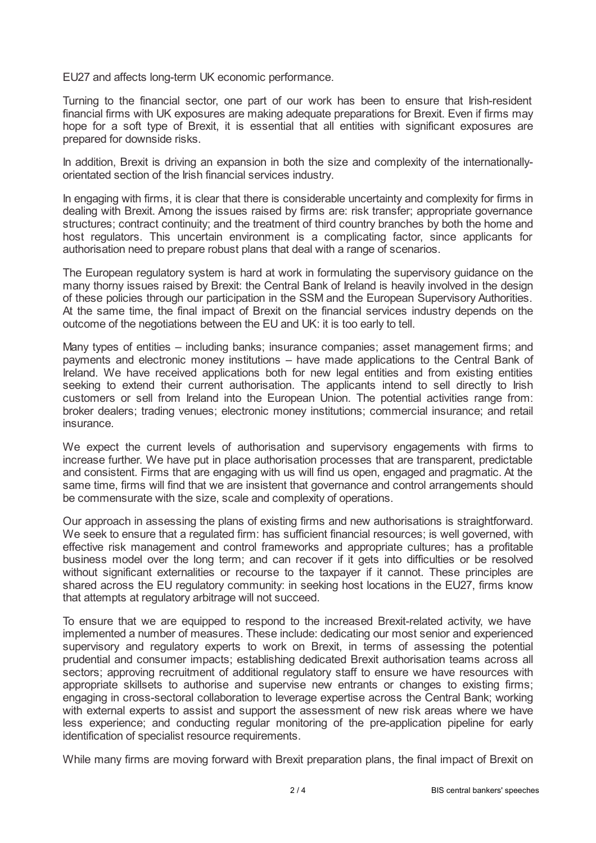EU27 and affects long-term UK economic performance.

Turning to the financial sector, one part of our work has been to ensure that Irish-resident financial firms with UK exposures are making adequate preparations for Brexit. Even if firms may hope for a soft type of Brexit, it is essential that all entities with significant exposures are prepared for downside risks.

In addition, Brexit is driving an expansion in both the size and complexity of the internationallyorientated section of the Irish financial services industry.

In engaging with firms, it is clear that there is considerable uncertainty and complexity for firms in dealing with Brexit. Among the issues raised by firms are: risk transfer; appropriate governance structures; contract continuity; and the treatment of third country branches by both the home and host regulators. This uncertain environment is a complicating factor, since applicants for authorisation need to prepare robust plans that deal with a range of scenarios.

The European regulatory system is hard at work in formulating the supervisory guidance on the many thorny issues raised by Brexit: the Central Bank of Ireland is heavily involved in the design of these policies through our participation in the SSM and the European Supervisory Authorities. At the same time, the final impact of Brexit on the financial services industry depends on the outcome of the negotiations between the EU and UK: it is too early to tell.

Many types of entities – including banks; insurance companies; asset management firms; and payments and electronic money institutions – have made applications to the Central Bank of Ireland. We have received applications both for new legal entities and from existing entities seeking to extend their current authorisation. The applicants intend to sell directly to Irish customers or sell from Ireland into the European Union. The potential activities range from: broker dealers; trading venues; electronic money institutions; commercial insurance; and retail insurance.

We expect the current levels of authorisation and supervisory engagements with firms to increase further. We have put in place authorisation processes that are transparent, predictable and consistent. Firms that are engaging with us will find us open, engaged and pragmatic. At the same time, firms will find that we are insistent that governance and control arrangements should be commensurate with the size, scale and complexity of operations.

Our approach in assessing the plans of existing firms and new authorisations is straightforward. We seek to ensure that a regulated firm: has sufficient financial resources; is well governed, with effective risk management and control frameworks and appropriate cultures; has a profitable business model over the long term; and can recover if it gets into difficulties or be resolved without significant externalities or recourse to the taxpayer if it cannot. These principles are shared across the EU regulatory community: in seeking host locations in the EU27, firms know that attempts at regulatory arbitrage will not succeed.

To ensure that we are equipped to respond to the increased Brexit-related activity, we have implemented a number of measures. These include: dedicating our most senior and experienced supervisory and regulatory experts to work on Brexit, in terms of assessing the potential prudential and consumer impacts; establishing dedicated Brexit authorisation teams across all sectors; approving recruitment of additional regulatory staff to ensure we have resources with appropriate skillsets to authorise and supervise new entrants or changes to existing firms; engaging in cross-sectoral collaboration to leverage expertise across the Central Bank; working with external experts to assist and support the assessment of new risk areas where we have less experience; and conducting regular monitoring of the pre-application pipeline for early identification of specialist resource requirements.

While many firms are moving forward with Brexit preparation plans, the final impact of Brexit on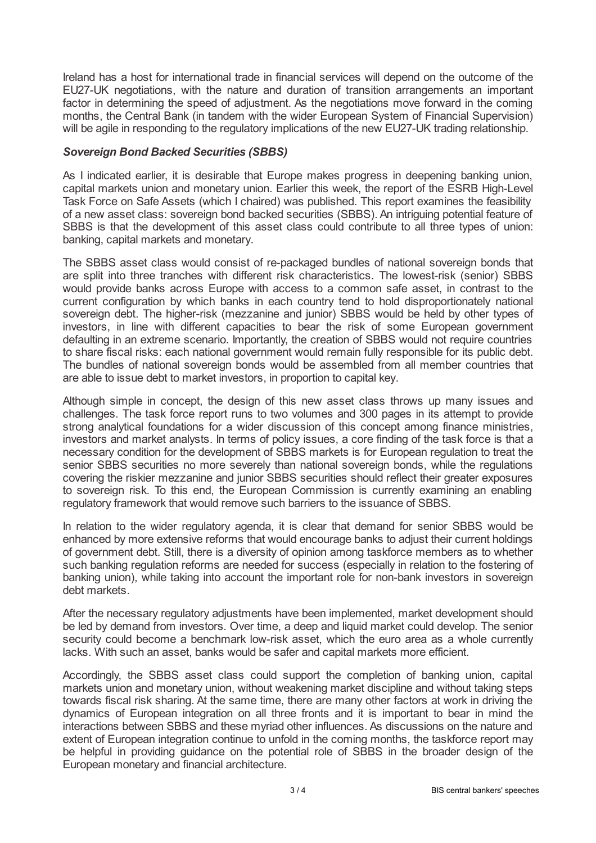Ireland has a host for international trade in financial services will depend on the outcome of the EU27-UK negotiations, with the nature and duration of transition arrangements an important factor in determining the speed of adjustment. As the negotiations move forward in the coming months, the Central Bank (in tandem with the wider European System of Financial Supervision) will be agile in responding to the regulatory implications of the new EU27-UK trading relationship.

### *Sovereign Bond Backed Securities (SBBS)*

As I indicated earlier, it is desirable that Europe makes progress in deepening banking union, capital markets union and monetary union. Earlier this week, the report of the ESRB High-Level Task Force on Safe Assets (which I chaired) was published. This report examines the feasibility of a new asset class: sovereign bond backed securities (SBBS). An intriguing potential feature of SBBS is that the development of this asset class could contribute to all three types of union: banking, capital markets and monetary.

The SBBS asset class would consist of re-packaged bundles of national sovereign bonds that are split into three tranches with different risk characteristics. The lowest-risk (senior) SBBS would provide banks across Europe with access to a common safe asset, in contrast to the current configuration by which banks in each country tend to hold disproportionately national sovereign debt. The higher-risk (mezzanine and junior) SBBS would be held by other types of investors, in line with different capacities to bear the risk of some European government defaulting in an extreme scenario. Importantly, the creation of SBBS would not require countries to share fiscal risks: each national government would remain fully responsible for its public debt. The bundles of national sovereign bonds would be assembled from all member countries that are able to issue debt to market investors, in proportion to capital key.

Although simple in concept, the design of this new asset class throws up many issues and challenges. The task force report runs to two volumes and 300 pages in its attempt to provide strong analytical foundations for a wider discussion of this concept among finance ministries, investors and market analysts. In terms of policy issues, a core finding of the task force is that a necessary condition for the development of SBBS markets is for European regulation to treat the senior SBBS securities no more severely than national sovereign bonds, while the regulations covering the riskier mezzanine and junior SBBS securities should reflect their greater exposures to sovereign risk. To this end, the European Commission is currently examining an enabling regulatory framework that would remove such barriers to the issuance of SBBS.

In relation to the wider regulatory agenda, it is clear that demand for senior SBBS would be enhanced by more extensive reforms that would encourage banks to adjust their current holdings of government debt. Still, there is a diversity of opinion among taskforce members as to whether such banking regulation reforms are needed for success (especially in relation to the fostering of banking union), while taking into account the important role for non-bank investors in sovereign debt markets.

After the necessary regulatory adjustments have been implemented, market development should be led by demand from investors. Over time, a deep and liquid market could develop. The senior security could become a benchmark low-risk asset, which the euro area as a whole currently lacks. With such an asset, banks would be safer and capital markets more efficient.

Accordingly, the SBBS asset class could support the completion of banking union, capital markets union and monetary union, without weakening market discipline and without taking steps towards fiscal risk sharing. At the same time, there are many other factors at work in driving the dynamics of European integration on all three fronts and it is important to bear in mind the interactions between SBBS and these myriad other influences. As discussions on the nature and extent of European integration continue to unfold in the coming months, the taskforce report may be helpful in providing guidance on the potential role of SBBS in the broader design of the European monetary and financial architecture.